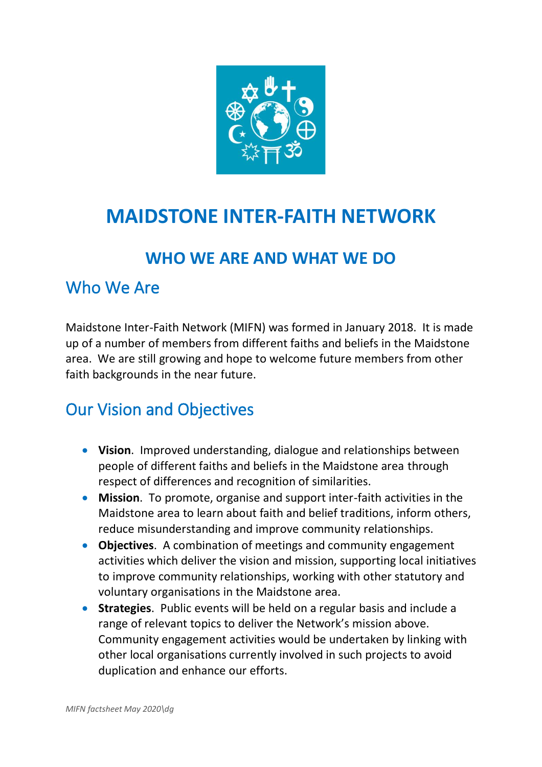

# **MAIDSTONE INTER-FAITH NETWORK**

#### **WHO WE ARE AND WHAT WE DO**

#### Who We Are

Maidstone Inter-Faith Network (MIFN) was formed in January 2018. It is made up of a number of members from different faiths and beliefs in the Maidstone area. We are still growing and hope to welcome future members from other faith backgrounds in the near future.

### Our Vision and Objectives

- **Vision**. Improved understanding, dialogue and relationships between people of different faiths and beliefs in the Maidstone area through respect of differences and recognition of similarities.
- **Mission**. To promote, organise and support inter-faith activities in the Maidstone area to learn about faith and belief traditions, inform others, reduce misunderstanding and improve community relationships.
- **Objectives**. A combination of meetings and community engagement activities which deliver the vision and mission, supporting local initiatives to improve community relationships, working with other statutory and voluntary organisations in the Maidstone area.
- **Strategies**. Public events will be held on a regular basis and include a range of relevant topics to deliver the Network's mission above. Community engagement activities would be undertaken by linking with other local organisations currently involved in such projects to avoid duplication and enhance our efforts.